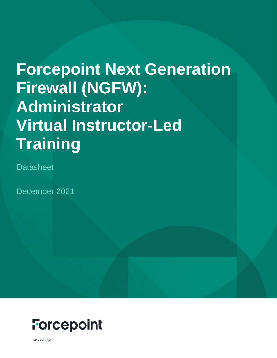# **Forcepoint Next Generation Firewall (NGFW): Administrator Virtual Instructor-Led Training**

**Datasheet** 

December 2021



forcepoint.com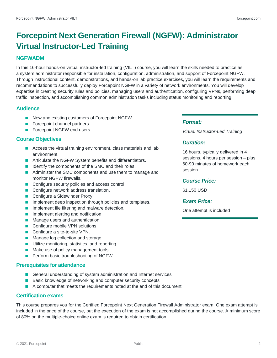### **Forcepoint Next Generation Firewall (NGFW): Administrator Virtual Instructor-Led Training**

#### **NGFWADM**

In this 16-hour hands-on virtual instructor-led training (VILT) course, you will learn the skills needed to practice as a system administrator responsible for installation, configuration, administration, and support of Forcepoint NGFW. Through instructional content, demonstrations, and hands-on lab practice exercises, you will learn the requirements and recommendations to successfully deploy Forcepoint NGFW in a variety of network environments. You will develop expertise in creating security rules and policies, managing users and authentication, configuring VPNs, performing deep traffic inspection, and accomplishing common administration tasks including status monitoring and reporting.

#### **Audience**

- New and existing customers of Forcepoint NGFW
- **Forcepoint channel partners**
- **Forcepoint NGFW end users**

#### **Course Objectives**

- Access the virtual training environment, class materials and lab environment.
- Articulate the NGFW System benefits and differentiators.
- I Identify the components of the SMC and their roles.
- **Administer the SMC components and use them to manage and** monitor NGFW firewalls.
- Configure security policies and access control.
- Configure network address translation.
- Configure a Sidewinder Proxy.
- **Implement deep inspection through policies and templates.**
- **Implement file filtering and malware detection.**
- **Implement alerting and notification.**
- **Manage users and authentication.**
- Configure mobile VPN solutions.
- Configure a site-to-site VPN.
- **Manage log collection and storage.**
- **Utilize monitoring, statistics, and reporting.**
- **Make use of policy management tools.**
- **Perform basic troubleshooting of NGFW.**

#### **Prerequisites for attendance**

- General understanding of system administration and Internet services
- Basic knowledge of networking and computer security concepts
- A computer that meets the requirements noted at the end of this document

#### **Certification exams**

This course prepares you for the Certified Forcepoint Next Generation Firewall Administrator exam. One exam attempt is included in the price of the course, but the execution of the exam is not accomplished during the course. A minimum score of 80% on the multiple-choice online exam is required to obtain certification.

#### *Format:*

*Virtual Instructor-Led Training*

#### *Duration:*

16 hours, typically delivered in 4 sessions, 4 hours per session – plus 60-90 minutes of homework each session

#### *Course Price:*

\$1,150 USD

#### *Exam Price:*

One attempt is included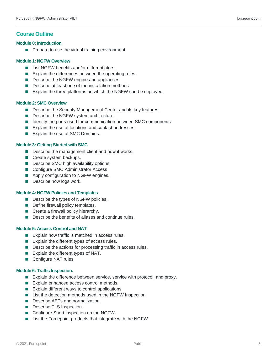#### **Course Outline**

#### **Module 0: Introduction**

 $\blacksquare$  Prepare to use the virtual training environment.

#### **Module 1: NGFW Overview**

- List NGFW benefits and/or differentiators.
- **Explain the differences between the operating roles.**
- Describe the NGFW engine and appliances.
- Describe at least one of the installation methods.
- Explain the three platforms on which the NGFW can be deployed.

#### **Module 2: SMC Overview**

- **Describe the Security Management Center and its key features.**
- Describe the NGFW system architecture.
- I Identify the ports used for communication between SMC components.
- Explain the use of locations and contact addresses.
- Explain the use of SMC Domains.

#### **Module 3: Getting Started with SMC**

- **Describe the management client and how it works.**
- Create system backups.
- Describe SMC high availability options.
- Configure SMC Administrator Access
- **Apply configuration to NGFW engines.**
- **Describe how logs work.**

#### **Module 4: NGFW Policies and Templates**

- Describe the types of NGFW policies.
- Define firewall policy templates.
- Create a firewall policy hierarchy.
- Describe the benefits of aliases and continue rules.

#### **Module 5: Access Control and NAT**

- $\blacksquare$  Explain how traffic is matched in access rules.
- Explain the different types of access rules.
- Describe the actions for processing traffic in access rules.
- $\blacksquare$  Explain the different types of NAT.
- Configure NAT rules.

#### **Module 6: Traffic Inspection.**

- Explain the difference between service, service with protocol, and proxy.
- Explain enhanced access control methods.
- Explain different ways to control applications.
- List the detection methods used in the NGFW Inspection.
- **Describe AETs and normalization.**
- Describe TLS Inspection.
- Configure Snort inspection on the NGFW.
- List the Forcepoint products that integrate with the NGFW.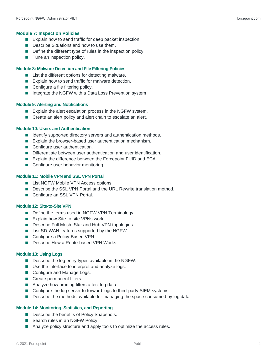- Explain how to send traffic for deep packet inspection.
- Describe Situations and how to use them.
- Define the different type of rules in the inspection policy.
- **Tune an inspection policy.**

#### **Module 8: Malware Detection and File Filtering Policies**

- List the different options for detecting malware.
- Explain how to send traffic for malware detection.
- Configure a file filtering policy.
- Integrate the NGFW with a Data Loss Prevention system

#### **Module 9: Alerting and Notifications**

- Explain the alert escalation process in the NGFW system.
- Create an alert policy and alert chain to escalate an alert.

#### **Module 10: Users and Authentication**

- I Identify supported directory servers and authentication methods.
- **Explain the browser-based user authentication mechanism.**
- Configure user authentication.
- Differentiate between user authentication and user identification.
- **Explain the difference between the Forcepoint FUID and ECA.**
- Configure user behavior monitoring

#### **Module 11: Mobile VPN and SSL VPN Portal**

- **List NGFW Mobile VPN Access options.**
- Describe the SSL VPN Portal and the URL Rewrite translation method.
- Configure an SSL VPN Portal.

#### **Module 12: Site-to-Site VPN**

- Define the terms used in NGFW VPN Terminology.
- Explain how Site-to-site VPNs work
- Describe Full Mesh, Star and Hub VPN topologies
- List SD-WAN features supported by the NGFW.
- Configure a Policy-Based VPN.
- Describe How a Route-based VPN Works.

#### **Module 13: Using Logs**

- **Describe the log entry types available in the NGFW.**
- Use the interface to interpret and analyze logs.
- Configure and Manage Logs.
- Create permanent filters.
- Analyze how pruning filters affect log data.
- Configure the log server to forward logs to third-party SIEM systems.
- Describe the methods available for managing the space consumed by log data.

#### **Module 14: Monitoring, Statistics, and Reporting**

- Describe the benefits of Policy Snapshots.
- Search rules in an NGFW Policy.
- Analyze policy structure and apply tools to optimize the access rules.